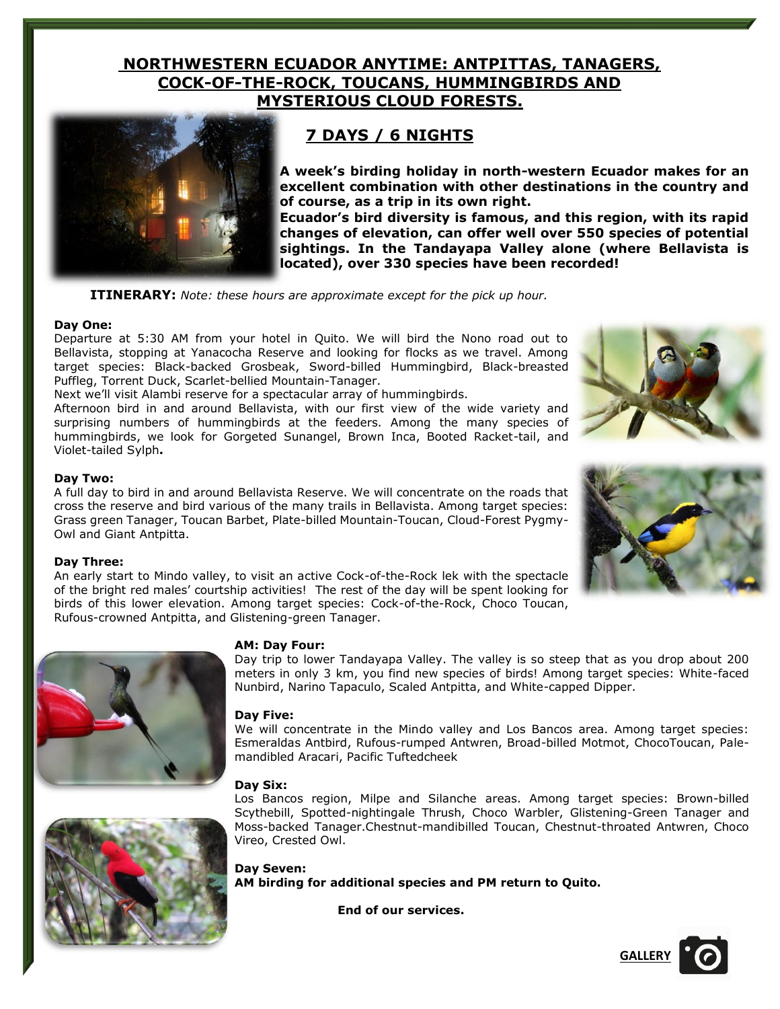## **NORTHWESTERN ECUADOR ANYTIME: ANTPITTAS, TANAGERS, COCK-OF-THE-ROCK, TOUCANS, HUMMINGBIRDS AND MYSTERIOUS CLOUD FORESTS.**



# **7 DAYS / 6 NIGHTS**

**A week's birding holiday in north-western Ecuador makes for an excellent combination with other destinations in the country and of course, as a trip in its own right.** 

**Ecuador's bird diversity is famous, and this region, with its rapid changes of elevation, can offer well over 550 species of potential sightings. In the Tandayapa Valley alone (where Bellavista is located), over 330 species have been recorded!**

**ITINERARY:** *Note: these hours are approximate except for the pick up hour.*

#### **Day One:**

Departure at 5:30 AM from your hotel in Quito. We will bird the Nono road out to Bellavista, stopping at Yanacocha Reserve and looking for flocks as we travel. Among target species: Black-backed Grosbeak, Sword-billed Hummingbird, Black-breasted Puffleg, Torrent Duck, Scarlet-bellied Mountain-Tanager.

Next we'll visit Alambi reserve for a spectacular array of hummingbirds.

Afternoon bird in and around Bellavista, with our first view of the wide variety and surprising numbers of hummingbirds at the feeders. Among the many species of hummingbirds, we look for Gorgeted Sunangel, Brown Inca, Booted Racket-tail, and Violet-tailed Sylph**.**

#### **Day Two:**

A full day to bird in and around Bellavista Reserve. We will concentrate on the roads that cross the reserve and bird various of the many trails in Bellavista. Among target species: Grass green Tanager, Toucan Barbet, Plate-billed Mountain-Toucan, Cloud-Forest Pygmy-Owl and Giant Antpitta.

#### **Day Three:**

An early start to Mindo valley, to visit an active Cock-of-the-Rock lek with the spectacle of the bright red males' courtship activities! The rest of the day will be spent looking for birds of this lower elevation. Among target species: Cock-of-the-Rock, Choco Toucan, Rufous-crowned Antpitta, and Glistening-green Tanager.



#### **AM: Day Four:**

Day trip to lower Tandayapa Valley. The valley is so steep that as you drop about 200 meters in only 3 km, you find new species of birds! Among target species: White-faced Nunbird, Narino Tapaculo, Scaled Antpitta, and White-capped Dipper.

#### **Day Five:**

We will concentrate in the Mindo valley and Los Bancos area. Among target species: Esmeraldas Antbird, Rufous-rumped Antwren, Broad-billed Motmot, ChocoToucan, Palemandibled Aracari, Pacific Tuftedcheek

#### **Day Six:**



Los Bancos region, Milpe and Silanche areas. Among target species: Brown-billed Scythebill, Spotted-nightingale Thrush, Choco Warbler, Glistening-Green Tanager and Moss-backed Tanager.Chestnut-mandibilled Toucan, Chestnut-throated Antwren, Choco Vireo, Crested Owl.

**Day Seven: AM birding for additional species and PM return to Quito.** 

**End of our services.**